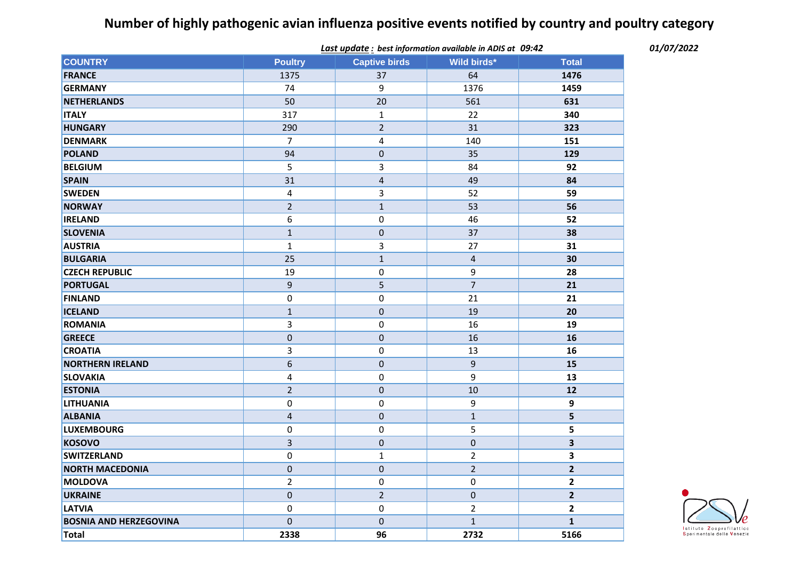## **Number of highly pathogenic avian influenza positive events notified by country and poultry category**

|                               | Last update: best information available in ADIS at 09:42 |                         |                |                |
|-------------------------------|----------------------------------------------------------|-------------------------|----------------|----------------|
| <b>COUNTRY</b>                | <b>Poultry</b>                                           | <b>Captive birds</b>    | Wild birds*    | <b>Total</b>   |
| <b>FRANCE</b>                 | 1375                                                     | 37                      | 64             | 1476           |
| <b>GERMANY</b>                | 74                                                       | 9                       | 1376           | 1459           |
| <b>NETHERLANDS</b>            | 50                                                       | 20                      | 561            | 631            |
| <b>ITALY</b>                  | 317                                                      | $\mathbf{1}$            | 22             | 340            |
| <b>HUNGARY</b>                | 290                                                      | $\overline{2}$          | 31             | 323            |
| <b>DENMARK</b>                | $\overline{7}$                                           | 4                       | 140            | 151            |
| <b>POLAND</b>                 | 94                                                       | $\pmb{0}$               | 35             | 129            |
| <b>BELGIUM</b>                | 5                                                        | 3                       | 84             | 92             |
| <b>SPAIN</b>                  | 31                                                       | $\overline{\mathbf{r}}$ | 49             | 84             |
| <b>SWEDEN</b>                 | $\overline{\mathbf{4}}$                                  | 3                       | 52             | 59             |
| <b>NORWAY</b>                 | $\overline{2}$                                           | $\mathbf{1}$            | 53             | 56             |
| <b>IRELAND</b>                | 6                                                        | $\mathbf 0$             | 46             | 52             |
| <b>SLOVENIA</b>               | $\mathbf{1}$                                             | $\pmb{0}$               | 37             | 38             |
| <b>AUSTRIA</b>                | $\mathbf{1}$                                             | 3                       | 27             | 31             |
| <b>BULGARIA</b>               | 25                                                       | $\mathbf{1}$            | $\overline{4}$ | 30             |
| <b>CZECH REPUBLIC</b>         | 19                                                       | $\pmb{0}$               | 9              | 28             |
| <b>PORTUGAL</b>               | $\mathsf g$                                              | 5                       | $\overline{7}$ | 21             |
| <b>FINLAND</b>                | 0                                                        | $\pmb{0}$               | 21             | 21             |
| <b>ICELAND</b>                | $\mathbf{1}$                                             | $\pmb{0}$               | 19             | 20             |
| <b>ROMANIA</b>                | 3                                                        | $\mathbf 0$             | 16             | 19             |
| <b>GREECE</b>                 | $\pmb{0}$                                                | $\pmb{0}$               | 16             | 16             |
| <b>CROATIA</b>                | 3                                                        | 0                       | 13             | 16             |
| <b>NORTHERN IRELAND</b>       | $\sqrt{6}$                                               | $\pmb{0}$               | 9              | 15             |
| <b>SLOVAKIA</b>               | $\pmb{4}$                                                | 0                       | 9              | 13             |
| <b>ESTONIA</b>                | $\overline{2}$                                           | $\pmb{0}$               | 10             | 12             |
| <b>LITHUANIA</b>              | 0                                                        | 0                       | 9              | 9              |
| <b>ALBANIA</b>                | $\overline{4}$                                           | $\pmb{0}$               | $\mathbf{1}$   | 5              |
| <b>LUXEMBOURG</b>             | 0                                                        | 0                       | 5              | 5              |
| <b>KOSOVO</b>                 | 3                                                        | 0                       | $\pmb{0}$      | 3              |
| <b>SWITZERLAND</b>            | 0                                                        | $\mathbf{1}$            | $\overline{2}$ | 3              |
| <b>NORTH MACEDONIA</b>        | $\pmb{0}$                                                | $\pmb{0}$               | $\overline{2}$ | $\overline{2}$ |
| MOLDOVA                       | $\overline{2}$                                           | 0                       | $\pmb{0}$      | $\mathbf{2}$   |
| <b>UKRAINE</b>                | $\pmb{0}$                                                | $\overline{2}$          | $\pmb{0}$      | $\mathbf{2}$   |
| <b>LATVIA</b>                 | 0                                                        | 0                       | $\overline{2}$ | $\overline{2}$ |
| <b>BOSNIA AND HERZEGOVINA</b> | $\mathbf 0$                                              | $\mathbf 0$             | $\mathbf{1}$   | $\mathbf{1}$   |
| Total                         | 2338                                                     | 96                      | 2732           | 5166           |



*09:42 01/07/2022*